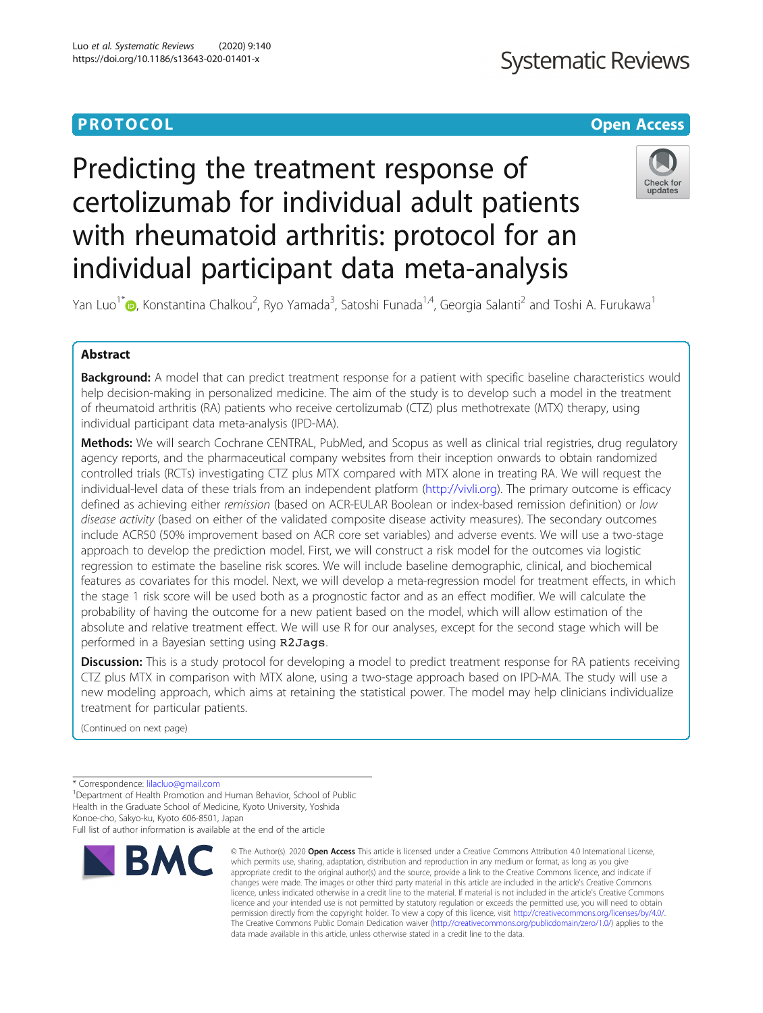## **Systematic Reviews**

## **PROTOCOL CONSUMING THE CONSUMING TEACHER CONSUMING THE CONSUMING TEACHER CONSUMING THE CONSUMING TEACHER CONSUMING**

# Predicting the treatment response of certolizumab for individual adult patients with rheumatoid arthritis: protocol for an individual participant data meta-analysis



Yan Luo<sup>1\*</sup> [,](http://orcid.org/0000-0002-5271-5126) Konstantina Chalkou<sup>2</sup>, Ryo Yamada<sup>3</sup>, Satoshi Funada<sup>1,4</sup>, Georgia Salanti<sup>2</sup> and Toshi A. Furukawa<sup>1</sup>

### Abstract

**Background:** A model that can predict treatment response for a patient with specific baseline characteristics would help decision-making in personalized medicine. The aim of the study is to develop such a model in the treatment of rheumatoid arthritis (RA) patients who receive certolizumab (CTZ) plus methotrexate (MTX) therapy, using individual participant data meta-analysis (IPD-MA).

Methods: We will search Cochrane CENTRAL, PubMed, and Scopus as well as clinical trial registries, drug regulatory agency reports, and the pharmaceutical company websites from their inception onwards to obtain randomized controlled trials (RCTs) investigating CTZ plus MTX compared with MTX alone in treating RA. We will request the individual-level data of these trials from an independent platform [\(http://vivli.org](http://vivli.org)). The primary outcome is efficacy defined as achieving either remission (based on ACR-EULAR Boolean or index-based remission definition) or low disease activity (based on either of the validated composite disease activity measures). The secondary outcomes include ACR50 (50% improvement based on ACR core set variables) and adverse events. We will use a two-stage approach to develop the prediction model. First, we will construct a risk model for the outcomes via logistic regression to estimate the baseline risk scores. We will include baseline demographic, clinical, and biochemical features as covariates for this model. Next, we will develop a meta-regression model for treatment effects, in which the stage 1 risk score will be used both as a prognostic factor and as an effect modifier. We will calculate the probability of having the outcome for a new patient based on the model, which will allow estimation of the absolute and relative treatment effect. We will use R for our analyses, except for the second stage which will be performed in a Bayesian setting using R2Jags.

Discussion: This is a study protocol for developing a model to predict treatment response for RA patients receiving CTZ plus MTX in comparison with MTX alone, using a two-stage approach based on IPD-MA. The study will use a new modeling approach, which aims at retaining the statistical power. The model may help clinicians individualize treatment for particular patients.

(Continued on next page)

Full list of author information is available at the end of the article



<sup>©</sup> The Author(s), 2020 **Open Access** This article is licensed under a Creative Commons Attribution 4.0 International License, which permits use, sharing, adaptation, distribution and reproduction in any medium or format, as long as you give appropriate credit to the original author(s) and the source, provide a link to the Creative Commons licence, and indicate if changes were made. The images or other third party material in this article are included in the article's Creative Commons licence, unless indicated otherwise in a credit line to the material. If material is not included in the article's Creative Commons licence and your intended use is not permitted by statutory regulation or exceeds the permitted use, you will need to obtain permission directly from the copyright holder. To view a copy of this licence, visit [http://creativecommons.org/licenses/by/4.0/.](http://creativecommons.org/licenses/by/4.0/) The Creative Commons Public Domain Dedication waiver [\(http://creativecommons.org/publicdomain/zero/1.0/](http://creativecommons.org/publicdomain/zero/1.0/)) applies to the data made available in this article, unless otherwise stated in a credit line to the data.

<sup>\*</sup> Correspondence: [lilacluo@gmail.com](mailto:lilacluo@gmail.com) <sup>1</sup>

<sup>&</sup>lt;sup>1</sup>Department of Health Promotion and Human Behavior, School of Public Health in the Graduate School of Medicine, Kyoto University, Yoshida Konoe-cho, Sakyo-ku, Kyoto 606-8501, Japan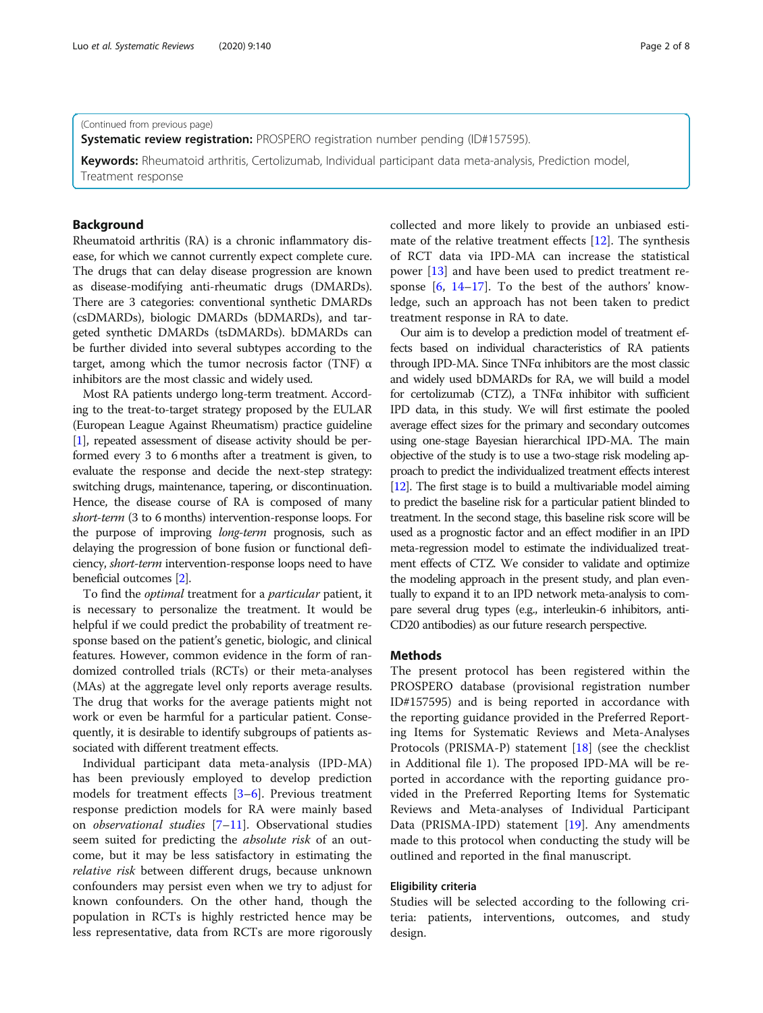#### (Continued from previous page)

**Systematic review registration:** PROSPERO registration number pending (ID#157595).

Keywords: Rheumatoid arthritis, Certolizumab, Individual participant data meta-analysis, Prediction model, Treatment response

#### Background

Rheumatoid arthritis (RA) is a chronic inflammatory disease, for which we cannot currently expect complete cure. The drugs that can delay disease progression are known as disease-modifying anti-rheumatic drugs (DMARDs). There are 3 categories: conventional synthetic DMARDs (csDMARDs), biologic DMARDs (bDMARDs), and targeted synthetic DMARDs (tsDMARDs). bDMARDs can be further divided into several subtypes according to the target, among which the tumor necrosis factor (TNF)  $\alpha$ inhibitors are the most classic and widely used.

Most RA patients undergo long-term treatment. According to the treat-to-target strategy proposed by the EULAR (European League Against Rheumatism) practice guideline [[1](#page-6-0)], repeated assessment of disease activity should be performed every 3 to 6 months after a treatment is given, to evaluate the response and decide the next-step strategy: switching drugs, maintenance, tapering, or discontinuation. Hence, the disease course of RA is composed of many short-term (3 to 6 months) intervention-response loops. For the purpose of improving long-term prognosis, such as delaying the progression of bone fusion or functional deficiency, short-term intervention-response loops need to have beneficial outcomes [[2](#page-6-0)].

To find the optimal treatment for a particular patient, it is necessary to personalize the treatment. It would be helpful if we could predict the probability of treatment response based on the patient's genetic, biologic, and clinical features. However, common evidence in the form of randomized controlled trials (RCTs) or their meta-analyses (MAs) at the aggregate level only reports average results. The drug that works for the average patients might not work or even be harmful for a particular patient. Consequently, it is desirable to identify subgroups of patients associated with different treatment effects.

Individual participant data meta-analysis (IPD-MA) has been previously employed to develop prediction models for treatment effects [\[3](#page-6-0)–[6](#page-6-0)]. Previous treatment response prediction models for RA were mainly based on observational studies [[7](#page-7-0)–[11](#page-7-0)]. Observational studies seem suited for predicting the *absolute risk* of an outcome, but it may be less satisfactory in estimating the relative risk between different drugs, because unknown confounders may persist even when we try to adjust for known confounders. On the other hand, though the population in RCTs is highly restricted hence may be less representative, data from RCTs are more rigorously collected and more likely to provide an unbiased estimate of the relative treatment effects [\[12\]](#page-7-0). The synthesis of RCT data via IPD-MA can increase the statistical power [[13\]](#page-7-0) and have been used to predict treatment response  $[6, 14-17]$  $[6, 14-17]$  $[6, 14-17]$  $[6, 14-17]$  $[6, 14-17]$  $[6, 14-17]$  $[6, 14-17]$ . To the best of the authors' knowledge, such an approach has not been taken to predict treatment response in RA to date.

Our aim is to develop a prediction model of treatment effects based on individual characteristics of RA patients through IPD-MA. Since TNFα inhibitors are the most classic and widely used bDMARDs for RA, we will build a model for certolizumab (CTZ), a TNF $\alpha$  inhibitor with sufficient IPD data, in this study. We will first estimate the pooled average effect sizes for the primary and secondary outcomes using one-stage Bayesian hierarchical IPD-MA. The main objective of the study is to use a two-stage risk modeling approach to predict the individualized treatment effects interest [[12\]](#page-7-0). The first stage is to build a multivariable model aiming to predict the baseline risk for a particular patient blinded to treatment. In the second stage, this baseline risk score will be used as a prognostic factor and an effect modifier in an IPD meta-regression model to estimate the individualized treatment effects of CTZ. We consider to validate and optimize the modeling approach in the present study, and plan eventually to expand it to an IPD network meta-analysis to compare several drug types (e.g., interleukin-6 inhibitors, anti-CD20 antibodies) as our future research perspective.

### Methods

The present protocol has been registered within the PROSPERO database (provisional registration number ID#157595) and is being reported in accordance with the reporting guidance provided in the Preferred Reporting Items for Systematic Reviews and Meta-Analyses Protocols (PRISMA-P) statement  $[18]$  $[18]$  $[18]$  (see the checklist in Additional file 1). The proposed IPD-MA will be reported in accordance with the reporting guidance provided in the Preferred Reporting Items for Systematic Reviews and Meta-analyses of Individual Participant Data (PRISMA-IPD) statement [\[19\]](#page-7-0). Any amendments made to this protocol when conducting the study will be outlined and reported in the final manuscript.

#### Eligibility criteria

Studies will be selected according to the following criteria: patients, interventions, outcomes, and study design.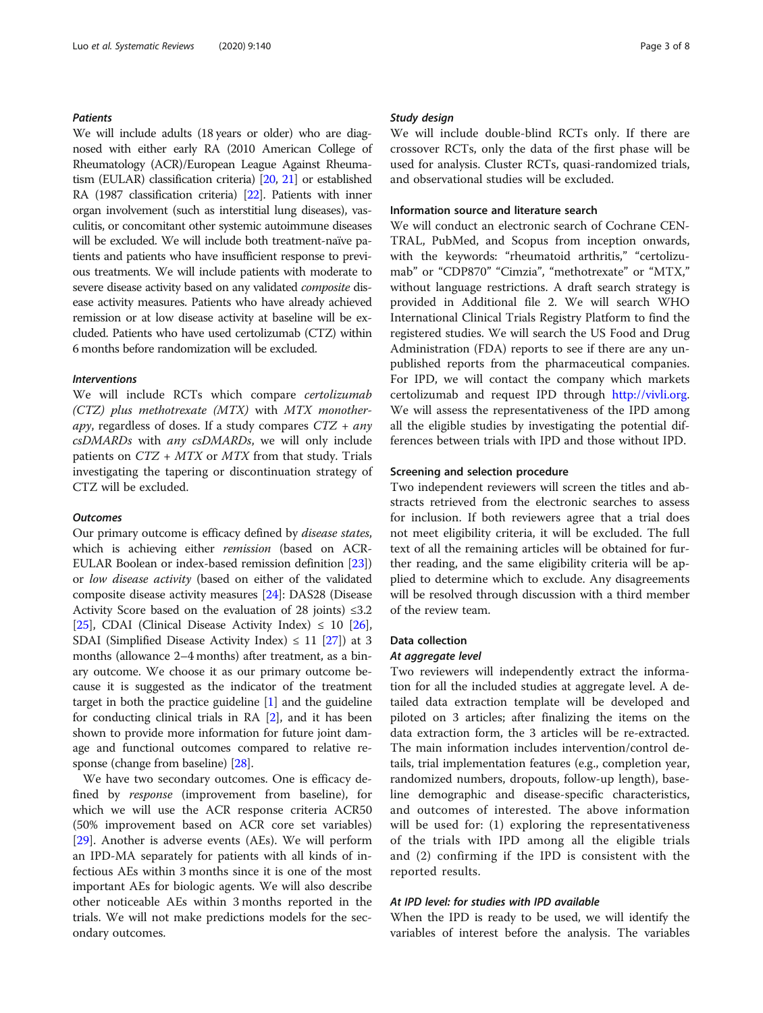#### Patients

We will include adults (18 years or older) who are diagnosed with either early RA (2010 American College of Rheumatology (ACR)/European League Against Rheumatism (EULAR) classification criteria) [[20](#page-7-0), [21\]](#page-7-0) or established RA (1987 classification criteria) [\[22](#page-7-0)]. Patients with inner organ involvement (such as interstitial lung diseases), vasculitis, or concomitant other systemic autoimmune diseases will be excluded. We will include both treatment-naïve patients and patients who have insufficient response to previous treatments. We will include patients with moderate to severe disease activity based on any validated composite disease activity measures. Patients who have already achieved remission or at low disease activity at baseline will be excluded. Patients who have used certolizumab (CTZ) within 6 months before randomization will be excluded.

#### Interventions

We will include RCTs which compare certolizumab (CTZ) plus methotrexate (MTX) with MTX monotherapy, regardless of doses. If a study compares  $CTZ + any$ csDMARDs with any csDMARDs, we will only include patients on  $CTZ + MTX$  or  $MTX$  from that study. Trials investigating the tapering or discontinuation strategy of CTZ will be excluded.

#### **Outcomes**

Our primary outcome is efficacy defined by disease states, which is achieving either *remission* (based on ACR-EULAR Boolean or index-based remission definition [[23](#page-7-0)]) or low disease activity (based on either of the validated composite disease activity measures [[24](#page-7-0)]: DAS28 (Disease Activity Score based on the evaluation of 28 joints)  $\leq 3.2$ [[25](#page-7-0)], CDAI (Clinical Disease Activity Index)  $\leq 10$  [[26](#page-7-0)], SDAI (Simplified Disease Activity Index)  $\leq$  11 [\[27](#page-7-0)]) at 3 months (allowance 2–4 months) after treatment, as a binary outcome. We choose it as our primary outcome because it is suggested as the indicator of the treatment target in both the practice guideline [\[1\]](#page-6-0) and the guideline for conducting clinical trials in RA [[2](#page-6-0)], and it has been shown to provide more information for future joint damage and functional outcomes compared to relative response (change from baseline) [\[28\]](#page-7-0).

We have two secondary outcomes. One is efficacy defined by response (improvement from baseline), for which we will use the ACR response criteria ACR50 (50% improvement based on ACR core set variables) [[29\]](#page-7-0). Another is adverse events (AEs). We will perform an IPD-MA separately for patients with all kinds of infectious AEs within 3 months since it is one of the most important AEs for biologic agents. We will also describe other noticeable AEs within 3 months reported in the trials. We will not make predictions models for the secondary outcomes.

#### Study design

We will include double-blind RCTs only. If there are crossover RCTs, only the data of the first phase will be used for analysis. Cluster RCTs, quasi-randomized trials, and observational studies will be excluded.

### Information source and literature search

We will conduct an electronic search of Cochrane CEN-TRAL, PubMed, and Scopus from inception onwards, with the keywords: "rheumatoid arthritis," "certolizumab" or "CDP870" "Cimzia", "methotrexate" or "MTX," without language restrictions. A draft search strategy is provided in Additional file 2. We will search WHO International Clinical Trials Registry Platform to find the registered studies. We will search the US Food and Drug Administration (FDA) reports to see if there are any unpublished reports from the pharmaceutical companies. For IPD, we will contact the company which markets certolizumab and request IPD through <http://vivli.org>. We will assess the representativeness of the IPD among all the eligible studies by investigating the potential differences between trials with IPD and those without IPD.

#### Screening and selection procedure

Two independent reviewers will screen the titles and abstracts retrieved from the electronic searches to assess for inclusion. If both reviewers agree that a trial does not meet eligibility criteria, it will be excluded. The full text of all the remaining articles will be obtained for further reading, and the same eligibility criteria will be applied to determine which to exclude. Any disagreements will be resolved through discussion with a third member of the review team.

#### Data collection

#### At aggregate level

Two reviewers will independently extract the information for all the included studies at aggregate level. A detailed data extraction template will be developed and piloted on 3 articles; after finalizing the items on the data extraction form, the 3 articles will be re-extracted. The main information includes intervention/control details, trial implementation features (e.g., completion year, randomized numbers, dropouts, follow-up length), baseline demographic and disease-specific characteristics, and outcomes of interested. The above information will be used for: (1) exploring the representativeness of the trials with IPD among all the eligible trials and (2) confirming if the IPD is consistent with the reported results.

#### At IPD level: for studies with IPD available

When the IPD is ready to be used, we will identify the variables of interest before the analysis. The variables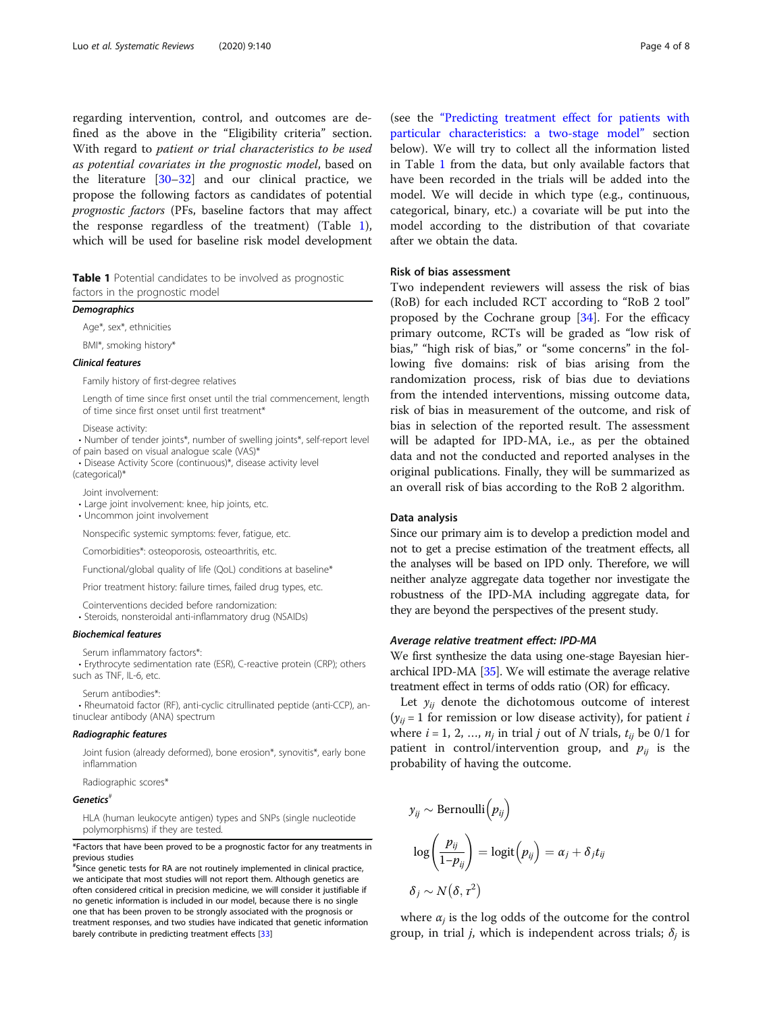regarding intervention, control, and outcomes are defined as the above in the "Eligibility criteria" section. With regard to patient or trial characteristics to be used as potential covariates in the prognostic model, based on the literature [[30](#page-7-0)–[32](#page-7-0)] and our clinical practice, we propose the following factors as candidates of potential prognostic factors (PFs, baseline factors that may affect the response regardless of the treatment) (Table 1), which will be used for baseline risk model development

Table 1 Potential candidates to be involved as prognostic factors in the prognostic model

#### **Demographics**

Age\*, sex\*, ethnicities

BMI\*, smoking history\*

#### Clinical features

Family history of first-degree relatives

Length of time since first onset until the trial commencement, length of time since first onset until first treatment\*

Disease activity:

• Number of tender joints\*, number of swelling joints\*, self-report level of pain based on visual analogue scale (VAS)\*

• Disease Activity Score (continuous)\*, disease activity level (categorical)\*

- Joint involvement:
- Large joint involvement: knee, hip joints, etc.
- Uncommon joint involvement

Nonspecific systemic symptoms: fever, fatigue, etc.

Comorbidities\*: osteoporosis, osteoarthritis, etc.

Functional/global quality of life (QoL) conditions at baseline\*

Prior treatment history: failure times, failed drug types, etc.

Cointerventions decided before randomization:

• Steroids, nonsteroidal anti-inflammatory drug (NSAIDs)

#### Biochemical features

Serum inflammatory factors\*:

• Erythrocyte sedimentation rate (ESR), C-reactive protein (CRP); others such as TNF, IL-6, etc.

Serum antibodies\*:

• Rheumatoid factor (RF), anti-cyclic citrullinated peptide (anti-CCP), antinuclear antibody (ANA) spectrum

#### Radiographic features

Joint fusion (already deformed), bone erosion\*, synovitis\*, early bone inflammation

Radiographic scores\*

#### Genetics

HLA (human leukocyte antigen) types and SNPs (single nucleotide polymorphisms) if they are tested.

\*Factors that have been proved to be a prognostic factor for any treatments in previous studies

# Since genetic tests for RA are not routinely implemented in clinical practice, we anticipate that most studies will not report them. Although genetics are often considered critical in precision medicine, we will consider it justifiable if no genetic information is included in our model, because there is no single one that has been proven to be strongly associated with the prognosis or treatment responses, and two studies have indicated that genetic information barely contribute in predicting treatment effects [[33\]](#page-7-0)

(see the "[Predicting treatment effect for patients with](#page-4-0) [particular characteristics: a two-stage model](#page-4-0)" section below). We will try to collect all the information listed in Table 1 from the data, but only available factors that have been recorded in the trials will be added into the model. We will decide in which type (e.g., continuous, categorical, binary, etc.) a covariate will be put into the model according to the distribution of that covariate after we obtain the data.

#### Risk of bias assessment

Two independent reviewers will assess the risk of bias (RoB) for each included RCT according to "RoB 2 tool" proposed by the Cochrane group  $[34]$  $[34]$ . For the efficacy primary outcome, RCTs will be graded as "low risk of bias," "high risk of bias," or "some concerns" in the following five domains: risk of bias arising from the randomization process, risk of bias due to deviations from the intended interventions, missing outcome data, risk of bias in measurement of the outcome, and risk of bias in selection of the reported result. The assessment will be adapted for IPD-MA, i.e., as per the obtained data and not the conducted and reported analyses in the original publications. Finally, they will be summarized as an overall risk of bias according to the RoB 2 algorithm.

#### Data analysis

Since our primary aim is to develop a prediction model and not to get a precise estimation of the treatment effects, all the analyses will be based on IPD only. Therefore, we will neither analyze aggregate data together nor investigate the robustness of the IPD-MA including aggregate data, for they are beyond the perspectives of the present study.

#### Average relative treatment effect: IPD-MA

We first synthesize the data using one-stage Bayesian hierarchical IPD-MA [[35](#page-7-0)]. We will estimate the average relative treatment effect in terms of odds ratio (OR) for efficacy.

Let  $y_{ii}$  denote the dichotomous outcome of interest  $(y_{ii} = 1$  for remission or low disease activity), for patient *i* where  $i = 1, 2, ..., n_j$  in trial j out of N trials,  $t_{ij}$  be 0/1 for patient in control/intervention group, and  $p_{ii}$  is the probability of having the outcome.

$$
y_{ij} \sim \text{Bernoulli}(p_{ij})
$$
  

$$
\log\left(\frac{p_{ij}}{1-p_{ij}}\right) = \log\text{it}(p_{ij}) = \alpha_j + \delta_j t_{ij}
$$
  

$$
\delta_j \sim N(\delta, \tau^2)
$$

where  $\alpha_i$  is the log odds of the outcome for the control group, in trial *j*, which is independent across trials;  $\delta_i$  is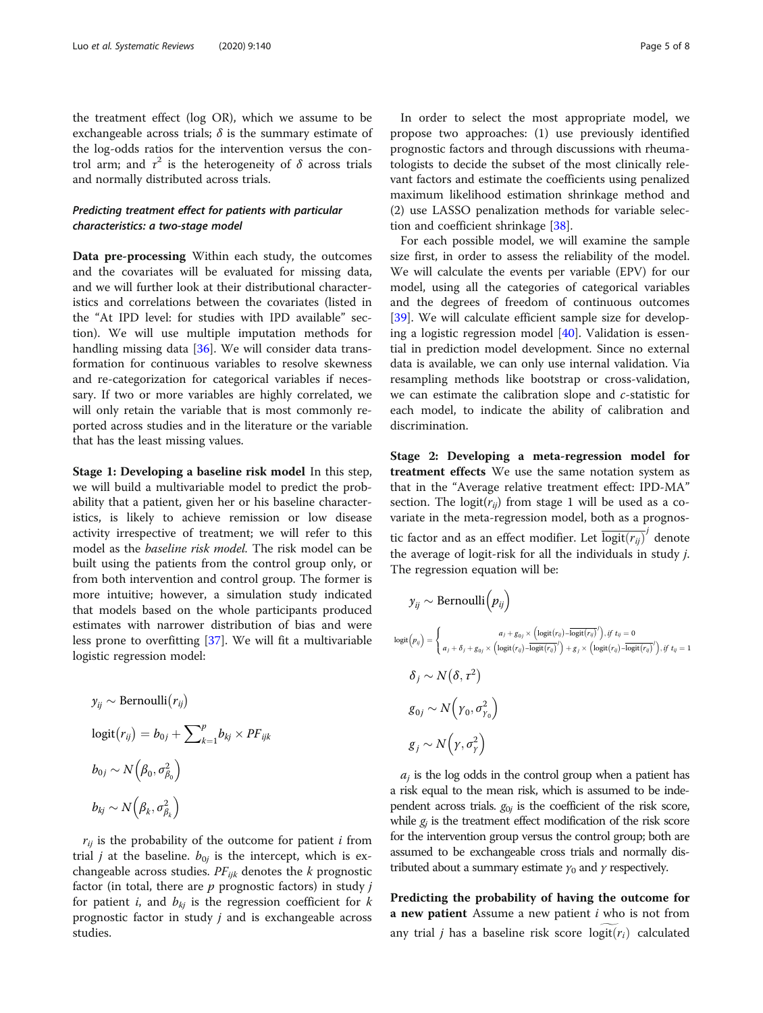<span id="page-4-0"></span>the treatment effect (log OR), which we assume to be exchangeable across trials;  $\delta$  is the summary estimate of the log-odds ratios for the intervention versus the control arm; and  $\tau^2$  is the heterogeneity of  $\delta$  across trials and normally distributed across trials.

### Predicting treatment effect for patients with particular characteristics: a two-stage model

Data pre-processing Within each study, the outcomes and the covariates will be evaluated for missing data, and we will further look at their distributional characteristics and correlations between the covariates (listed in the "At IPD level: for studies with IPD available" section). We will use multiple imputation methods for handling missing data [[36\]](#page-7-0). We will consider data transformation for continuous variables to resolve skewness and re-categorization for categorical variables if necessary. If two or more variables are highly correlated, we will only retain the variable that is most commonly reported across studies and in the literature or the variable that has the least missing values.

Stage 1: Developing a baseline risk model In this step, we will build a multivariable model to predict the probability that a patient, given her or his baseline characteristics, is likely to achieve remission or low disease activity irrespective of treatment; we will refer to this model as the baseline risk model. The risk model can be built using the patients from the control group only, or from both intervention and control group. The former is more intuitive; however, a simulation study indicated that models based on the whole participants produced estimates with narrower distribution of bias and were less prone to overfitting [[37](#page-7-0)]. We will fit a multivariable logistic regression model:

$$
y_{ij} \sim \text{Bernoulli}(r_{ij})
$$
  
\n
$$
\text{logit}(r_{ij}) = b_{0j} + \sum_{k=1}^{p} b_{kj} \times PF_{ijk}
$$
  
\n
$$
b_{0j} \sim N(\beta_0, \sigma_{\beta_0}^2)
$$
  
\n
$$
b_{kj} \sim N(\beta_k, \sigma_{\beta_k}^2)
$$

 $r_{ij}$  is the probability of the outcome for patient *i* from trial *j* at the baseline.  $b_{0j}$  is the intercept, which is exchangeable across studies.  $PF_{ijk}$  denotes the k prognostic factor (in total, there are  $p$  prognostic factors) in study  $j$ for patient *i*, and  $b_{ki}$  is the regression coefficient for *k* prognostic factor in study  $j$  and is exchangeable across studies.

In order to select the most appropriate model, we propose two approaches: (1) use previously identified prognostic factors and through discussions with rheumatologists to decide the subset of the most clinically relevant factors and estimate the coefficients using penalized maximum likelihood estimation shrinkage method and (2) use LASSO penalization methods for variable selection and coefficient shrinkage [\[38](#page-7-0)].

For each possible model, we will examine the sample size first, in order to assess the reliability of the model. We will calculate the events per variable (EPV) for our model, using all the categories of categorical variables and the degrees of freedom of continuous outcomes [[39\]](#page-7-0). We will calculate efficient sample size for developing a logistic regression model [[40\]](#page-7-0). Validation is essential in prediction model development. Since no external data is available, we can only use internal validation. Via resampling methods like bootstrap or cross-validation, we can estimate the calibration slope and c-statistic for each model, to indicate the ability of calibration and discrimination.

Stage 2: Developing a meta-regression model for treatment effects We use the same notation system as that in the "Average relative treatment effect: IPD-MA" section. The logit( $r_{ij}$ ) from stage 1 will be used as a covariate in the meta-regression model, both as a prognostic factor and as an effect modifier. Let  $\overline{\text{logit}(r_{ij})}^j$  denote the average of logit-risk for all the individuals in study j. The regression equation will be:

$$
y_{ij} \sim \text{Bernoulli}(p_{ij})
$$
  
\n
$$
\log(t_{ij}) = \begin{cases} a_j + g_{0j} \times (\log(t_{ij}) - \overline{\logit(r_{ij})'}) & \text{if } t_{ij} = 0 \\ a_j + \delta_j + g_{0j} \times (\logit(r_{ij}) - \overline{\logit(r_{ij})'}) + g_j \times (\logit(r_{ij}) - \overline{\logit(r_{ij})'}) & \text{if } t_{ij} = 1 \end{cases}
$$
  
\n
$$
\delta_j \sim N(\delta, \tau^2)
$$
  
\n
$$
g_{0j} \sim N(\gamma_0, \sigma_{\gamma_0}^2)
$$
  
\n
$$
g_j \sim N(\gamma, \sigma_{\gamma}^2)
$$

 $a_i$  is the log odds in the control group when a patient has a risk equal to the mean risk, which is assumed to be independent across trials.  $g_{0j}$  is the coefficient of the risk score, while  $g_i$  is the treatment effect modification of the risk score for the intervention group versus the control group; both are assumed to be exchangeable cross trials and normally distributed about a summary estimate  $\gamma_0$  and  $\gamma$  respectively.

Predicting the probability of having the outcome for a new patient Assume a new patient  $i$  who is not from any trial *j* has a baseline risk score  $logit(r_i)$  calculated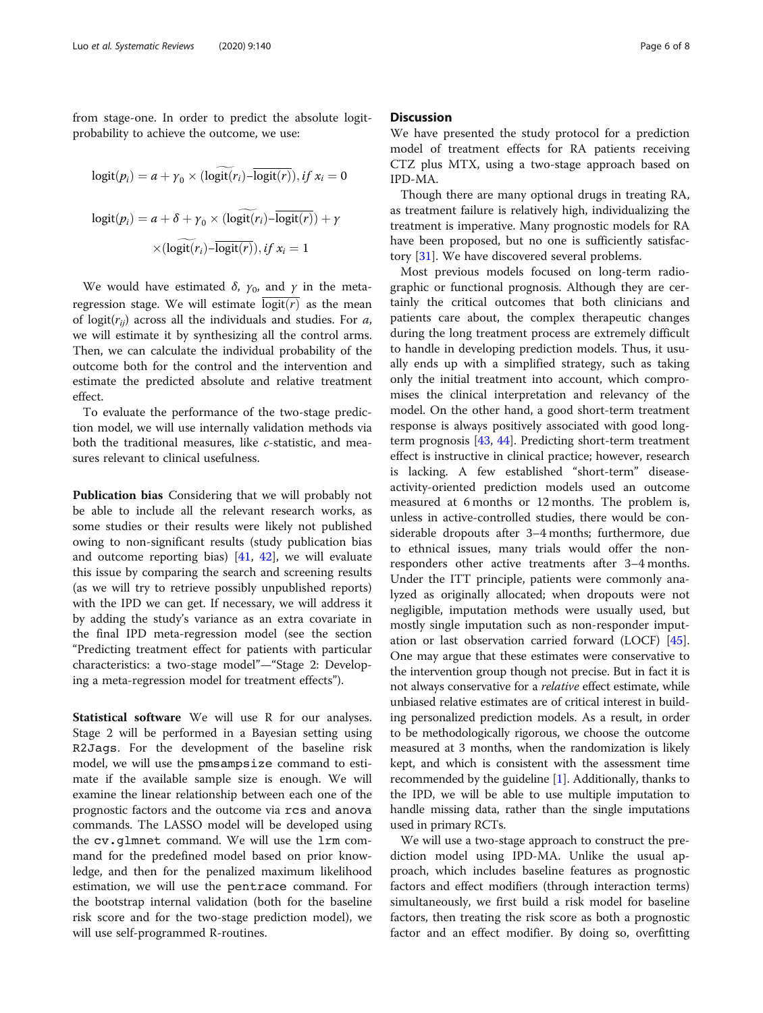from stage-one. In order to predict the absolute logitprobability to achieve the outcome, we use:

$$
logit(p_i) = a + \gamma_0 \times (logit(r_i) - logit(r)), \text{ if } x_i = 0
$$
\n
$$
logit(p_i) = a + \delta + \gamma_0 \times (logit(r_i) - logit(r)) + \gamma
$$
\n
$$
\times (logit(r_i) - logit(r)), \text{ if } x_i = 1
$$

We would have estimated  $\delta$ ,  $\gamma_0$ , and  $\gamma$  in the metaregression stage. We will estimate  $\overline{logit(r)}$  as the mean of logit( $r_{ii}$ ) across all the individuals and studies. For a, we will estimate it by synthesizing all the control arms. Then, we can calculate the individual probability of the outcome both for the control and the intervention and estimate the predicted absolute and relative treatment effect.

To evaluate the performance of the two-stage prediction model, we will use internally validation methods via both the traditional measures, like c-statistic, and measures relevant to clinical usefulness.

Publication bias Considering that we will probably not be able to include all the relevant research works, as some studies or their results were likely not published owing to non-significant results (study publication bias and outcome reporting bias) [\[41,](#page-7-0) [42](#page-7-0)], we will evaluate this issue by comparing the search and screening results (as we will try to retrieve possibly unpublished reports) with the IPD we can get. If necessary, we will address it by adding the study's variance as an extra covariate in the final IPD meta-regression model (see the section "Predicting treatment effect for patients with particular characteristics: a two-stage model"—"Stage 2: Developing a meta-regression model for treatment effects").

Statistical software We will use R for our analyses. Stage 2 will be performed in a Bayesian setting using R2Jags. For the development of the baseline risk model, we will use the pmsampsize command to estimate if the available sample size is enough. We will examine the linear relationship between each one of the prognostic factors and the outcome via rcs and anova commands. The LASSO model will be developed using the cv.glmnet command. We will use the lrm command for the predefined model based on prior knowledge, and then for the penalized maximum likelihood estimation, we will use the pentrace command. For the bootstrap internal validation (both for the baseline risk score and for the two-stage prediction model), we will use self-programmed R-routines.

#### **Discussion**

We have presented the study protocol for a prediction model of treatment effects for RA patients receiving CTZ plus MTX, using a two-stage approach based on IPD-MA.

Though there are many optional drugs in treating RA, as treatment failure is relatively high, individualizing the treatment is imperative. Many prognostic models for RA have been proposed, but no one is sufficiently satisfactory [\[31](#page-7-0)]. We have discovered several problems.

Most previous models focused on long-term radiographic or functional prognosis. Although they are certainly the critical outcomes that both clinicians and patients care about, the complex therapeutic changes during the long treatment process are extremely difficult to handle in developing prediction models. Thus, it usually ends up with a simplified strategy, such as taking only the initial treatment into account, which compromises the clinical interpretation and relevancy of the model. On the other hand, a good short-term treatment response is always positively associated with good longterm prognosis [\[43,](#page-7-0) [44](#page-7-0)]. Predicting short-term treatment effect is instructive in clinical practice; however, research is lacking. A few established "short-term" diseaseactivity-oriented prediction models used an outcome measured at 6 months or 12 months. The problem is, unless in active-controlled studies, there would be considerable dropouts after 3–4 months; furthermore, due to ethnical issues, many trials would offer the nonresponders other active treatments after 3–4 months. Under the ITT principle, patients were commonly analyzed as originally allocated; when dropouts were not negligible, imputation methods were usually used, but mostly single imputation such as non-responder imputation or last observation carried forward (LOCF) [\[45](#page-7-0)]. One may argue that these estimates were conservative to the intervention group though not precise. But in fact it is not always conservative for a relative effect estimate, while unbiased relative estimates are of critical interest in building personalized prediction models. As a result, in order to be methodologically rigorous, we choose the outcome measured at 3 months, when the randomization is likely kept, and which is consistent with the assessment time recommended by the guideline  $[1]$  $[1]$  $[1]$ . Additionally, thanks to the IPD, we will be able to use multiple imputation to handle missing data, rather than the single imputations used in primary RCTs.

We will use a two-stage approach to construct the prediction model using IPD-MA. Unlike the usual approach, which includes baseline features as prognostic factors and effect modifiers (through interaction terms) simultaneously, we first build a risk model for baseline factors, then treating the risk score as both a prognostic factor and an effect modifier. By doing so, overfitting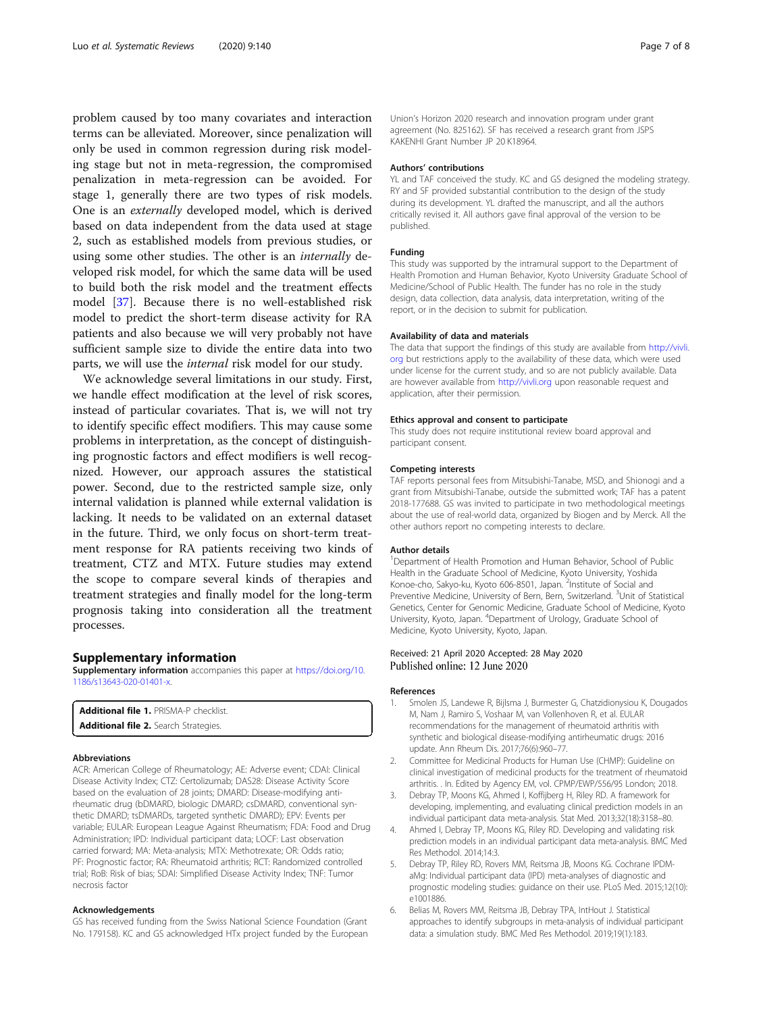<span id="page-6-0"></span>problem caused by too many covariates and interaction terms can be alleviated. Moreover, since penalization will only be used in common regression during risk modeling stage but not in meta-regression, the compromised penalization in meta-regression can be avoided. For stage 1, generally there are two types of risk models. One is an externally developed model, which is derived based on data independent from the data used at stage 2, such as established models from previous studies, or using some other studies. The other is an internally developed risk model, for which the same data will be used to build both the risk model and the treatment effects model [\[37\]](#page-7-0). Because there is no well-established risk model to predict the short-term disease activity for RA patients and also because we will very probably not have sufficient sample size to divide the entire data into two parts, we will use the internal risk model for our study.

We acknowledge several limitations in our study. First, we handle effect modification at the level of risk scores, instead of particular covariates. That is, we will not try to identify specific effect modifiers. This may cause some problems in interpretation, as the concept of distinguishing prognostic factors and effect modifiers is well recognized. However, our approach assures the statistical power. Second, due to the restricted sample size, only internal validation is planned while external validation is lacking. It needs to be validated on an external dataset in the future. Third, we only focus on short-term treatment response for RA patients receiving two kinds of treatment, CTZ and MTX. Future studies may extend the scope to compare several kinds of therapies and treatment strategies and finally model for the long-term prognosis taking into consideration all the treatment processes.

#### Supplementary information

Supplementary information accompanies this paper at [https://doi.org/10.](https://doi.org/10.1186/s13643-020-01401-x) [1186/s13643-020-01401-x.](https://doi.org/10.1186/s13643-020-01401-x)

| <b>Additional file 1. PRISMA-P checklist.</b> |
|-----------------------------------------------|
| <b>Additional file 2.</b> Search Strategies.  |

#### Abbreviations

ACR: American College of Rheumatology; AE: Adverse event; CDAI: Clinical Disease Activity Index; CTZ: Certolizumab; DAS28: Disease Activity Score based on the evaluation of 28 joints; DMARD: Disease-modifying antirheumatic drug (bDMARD, biologic DMARD; csDMARD, conventional synthetic DMARD; tsDMARDs, targeted synthetic DMARD); EPV: Events per variable; EULAR: European League Against Rheumatism; FDA: Food and Drug Administration; IPD: Individual participant data; LOCF: Last observation carried forward; MA: Meta-analysis; MTX: Methotrexate; OR: Odds ratio; PF: Prognostic factor; RA: Rheumatoid arthritis; RCT: Randomized controlled trial; RoB: Risk of bias; SDAI: Simplified Disease Activity Index; TNF: Tumor necrosis factor

#### Acknowledgements

GS has received funding from the Swiss National Science Foundation (Grant No. 179158). KC and GS acknowledged HTx project funded by the European Union's Horizon 2020 research and innovation program under grant agreement (No. 825162). SF has received a research grant from JSPS KAKENHI Grant Number JP 20 K18964.

#### Authors' contributions

YL and TAF conceived the study. KC and GS designed the modeling strategy. RY and SF provided substantial contribution to the design of the study during its development. YL drafted the manuscript, and all the authors critically revised it. All authors gave final approval of the version to be published.

#### Funding

This study was supported by the intramural support to the Department of Health Promotion and Human Behavior, Kyoto University Graduate School of Medicine/School of Public Health. The funder has no role in the study design, data collection, data analysis, data interpretation, writing of the report, or in the decision to submit for publication.

#### Availability of data and materials

The data that support the findings of this study are available from [http://vivli.](http://vivli.org) [org](http://vivli.org) but restrictions apply to the availability of these data, which were used under license for the current study, and so are not publicly available. Data are however available from <http://vivli.org> upon reasonable request and application, after their permission.

#### Ethics approval and consent to participate

This study does not require institutional review board approval and participant consent.

#### Competing interests

TAF reports personal fees from Mitsubishi-Tanabe, MSD, and Shionogi and a grant from Mitsubishi-Tanabe, outside the submitted work; TAF has a patent 2018-177688. GS was invited to participate in two methodological meetings about the use of real-world data, organized by Biogen and by Merck. All the other authors report no competing interests to declare.

#### Author details

<sup>1</sup>Department of Health Promotion and Human Behavior, School of Public Health in the Graduate School of Medicine, Kyoto University, Yoshida Konoe-cho, Sakyo-ku, Kyoto 606-8501, Japan. <sup>2</sup>Institute of Social and Preventive Medicine, University of Bern, Bern, Switzerland. <sup>3</sup>Unit of Statistical Genetics, Center for Genomic Medicine, Graduate School of Medicine, Kyoto University, Kyoto, Japan. <sup>4</sup>Department of Urology, Graduate School of Medicine, Kyoto University, Kyoto, Japan.

#### Received: 21 April 2020 Accepted: 28 May 2020 Published online: 12 June 2020

#### References

- 1. Smolen JS, Landewe R, Bijlsma J, Burmester G, Chatzidionysiou K, Dougados M, Nam J, Ramiro S, Voshaar M, van Vollenhoven R, et al. EULAR recommendations for the management of rheumatoid arthritis with synthetic and biological disease-modifying antirheumatic drugs: 2016 update. Ann Rheum Dis. 2017;76(6):960–77.
- 2. Committee for Medicinal Products for Human Use (CHMP): Guideline on clinical investigation of medicinal products for the treatment of rheumatoid arthritis. . In. Edited by Agency EM, vol. CPMP/EWP/556/95 London; 2018.
- 3. Debray TP, Moons KG, Ahmed I, Koffijberg H, Riley RD. A framework for developing, implementing, and evaluating clinical prediction models in an individual participant data meta-analysis. Stat Med. 2013;32(18):3158–80.
- 4. Ahmed I, Debray TP, Moons KG, Riley RD. Developing and validating risk prediction models in an individual participant data meta-analysis. BMC Med Res Methodol. 2014;14:3.
- Debray TP, Riley RD, Rovers MM, Reitsma JB, Moons KG. Cochrane IPDMaMg: Individual participant data (IPD) meta-analyses of diagnostic and prognostic modeling studies: guidance on their use. PLoS Med. 2015;12(10): e1001886.
- 6. Belias M, Rovers MM, Reitsma JB, Debray TPA, IntHout J. Statistical approaches to identify subgroups in meta-analysis of individual participant data: a simulation study. BMC Med Res Methodol. 2019;19(1):183.